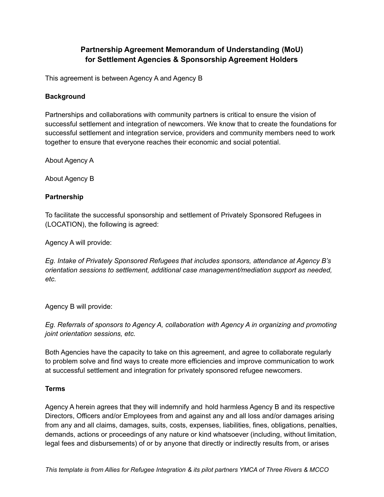# **Partnership Agreement Memorandum of Understanding (MoU) for Settlement Agencies & Sponsorship Agreement Holders**

This agreement is between Agency A and Agency B

#### **Background**

Partnerships and collaborations with community partners is critical to ensure the vision of successful settlement and integration of newcomers. We know that to create the foundations for successful settlement and integration service, providers and community members need to work together to ensure that everyone reaches their economic and social potential.

About Agency A

About Agency B

#### **Partnership**

To facilitate the successful sponsorship and settlement of Privately Sponsored Refugees in (LOCATION), the following is agreed:

Agency A will provide:

*Eg. Intake of Privately Sponsored Refugees that includes sponsors, attendance at Agency B's orientation sessions to settlement, additional case management/mediation support as needed, etc.*

Agency B will provide:

*Eg. Referrals of sponsors to Agency A, collaboration with Agency A in organizing and promoting joint orientation sessions, etc.*

Both Agencies have the capacity to take on this agreement, and agree to collaborate regularly to problem solve and find ways to create more efficiencies and improve communication to work at successful settlement and integration for privately sponsored refugee newcomers.

### **Terms**

Agency A herein agrees that they will indemnify and hold harmless Agency B and its respective Directors, Officers and/or Employees from and against any and all loss and/or damages arising from any and all claims, damages, suits, costs, expenses, liabilities, fines, obligations, penalties, demands, actions or proceedings of any nature or kind whatsoever (including, without limitation, legal fees and disbursements) of or by anyone that directly or indirectly results from, or arises